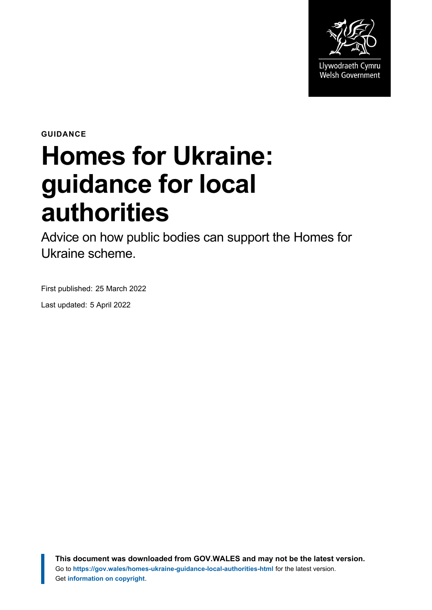

**GUIDANCE**

# **Homes for Ukraine: guidance for local authorities**

Advice on how public bodies can support the Homes for Ukraine scheme.

First published: 25 March 2022

Last updated: 5 April 2022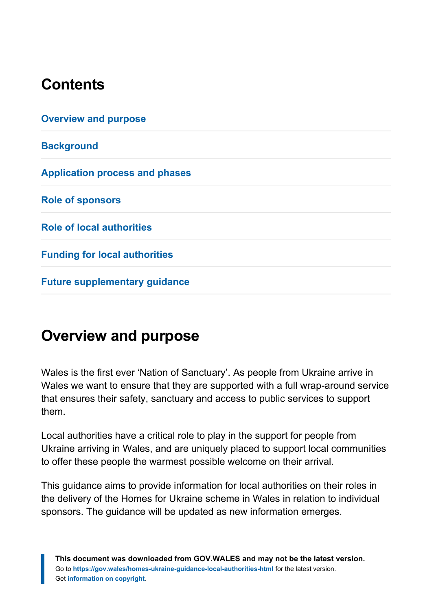## **Contents**

| <b>Overview and purpose</b>           |  |
|---------------------------------------|--|
| <b>Background</b>                     |  |
| <b>Application process and phases</b> |  |
| <b>Role of sponsors</b>               |  |
| <b>Role of local authorities</b>      |  |
| <b>Funding for local authorities</b>  |  |
| <b>Future supplementary guidance</b>  |  |

## <span id="page-1-0"></span>**Overview and purpose**

Wales is the first ever 'Nation of Sanctuary'. As people from Ukraine arrive in Wales we want to ensure that they are supported with a full wrap-around service that ensures their safety, sanctuary and access to public services to support them.

Local authorities have a critical role to play in the support for people from Ukraine arriving in Wales, and are uniquely placed to support local communities to offer these people the warmest possible welcome on their arrival.

This guidance aims to provide information for local authorities on their roles in the delivery of the Homes for Ukraine scheme in Wales in relation to individual sponsors. The guidance will be updated as new information emerges.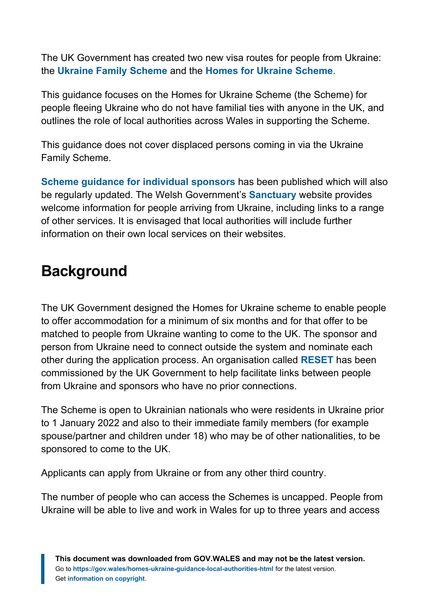The UK Government has created two new visa routes for people from Ukraine: the **[Ukraine Family Scheme](https://www.gov.uk/guidance/apply-for-a-ukraine-family-scheme-visa)** and the **[Homes for Ukraine Scheme](https://homesforukraine.campaign.gov.uk/)**.

This guidance focuses on the Homes for Ukraine Scheme (the Scheme) for people fleeing Ukraine who do not have familial ties with anyone in the UK, and outlines the role of local authorities across Wales in supporting the Scheme.

This guidance does not cover displaced persons coming in via the Ukraine Family Scheme.

**[Scheme guidance for individual sponsors](https://gov.wales/homes-ukraine-guidance-sponsors-html)** has been published which will also be regularly updated. The Welsh Government's **[Sanctuary](https://sanctuary.gov.wales/ukraine)** website provides welcome information for people arriving from Ukraine, including links to a range of other services. It is envisaged that local authorities will include further information on their own local services on their websites.

## <span id="page-2-0"></span>**Background**

The UK Government designed the Homes for Ukraine scheme to enable people to offer accommodation for a minimum of six months and for that offer to be matched to people from Ukraine wanting to come to the UK. The sponsor and person from Ukraine need to connect outside the system and nominate each other during the application process. An organisation called **[RESET](https://resetuk.org/news-and-campaigns/news/homes-for-ukraine-sponsorship-scheme)** has been commissioned by the UK Government to help facilitate links between people from Ukraine and sponsors who have no prior connections.

The Scheme is open to Ukrainian nationals who were residents in Ukraine prior to 1 January 2022 and also to their immediate family members (for example spouse/partner and children under 18) who may be of other nationalities, to be sponsored to come to the UK.

Applicants can apply from Ukraine or from any other third country.

The number of people who can access the Schemes is uncapped. People from Ukraine will be able to live and work in Wales for up to three years and access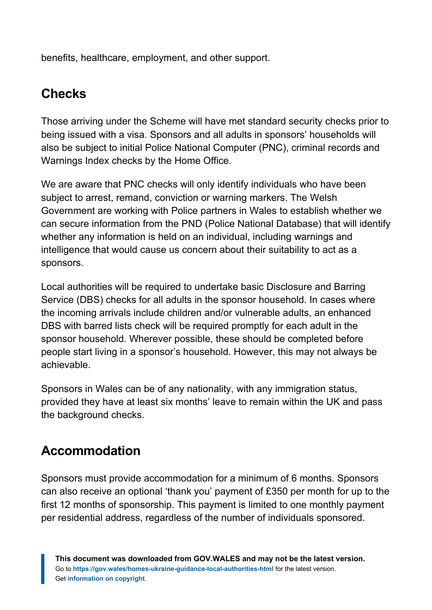benefits, healthcare, employment, and other support.

## **Checks**

Those arriving under the Scheme will have met standard security checks prior to being issued with a visa. Sponsors and all adults in sponsors' households will also be subject to initial Police National Computer (PNC), criminal records and Warnings Index checks by the Home Office.

We are aware that PNC checks will only identify individuals who have been subject to arrest, remand, conviction or warning markers. The Welsh Government are working with Police partners in Wales to establish whether we can secure information from the PND (Police National Database) that will identify whether any information is held on an individual, including warnings and intelligence that would cause us concern about their suitability to act as a sponsors.

Local authorities will be required to undertake basic Disclosure and Barring Service (DBS) checks for all adults in the sponsor household. In cases where the incoming arrivals include children and/or vulnerable adults, an enhanced DBS with barred lists check will be required promptly for each adult in the sponsor household. Wherever possible, these should be completed before people start living in a sponsor's household. However, this may not always be achievable.

Sponsors in Wales can be of any nationality, with any immigration status, provided they have at least six months' leave to remain within the UK and pass the background checks.

#### **Accommodation**

Sponsors must provide accommodation for a minimum of 6 months. Sponsors can also receive an optional 'thank you' payment of £350 per month for up to the first 12 months of sponsorship. This payment is limited to one monthly payment per residential address, regardless of the number of individuals sponsored.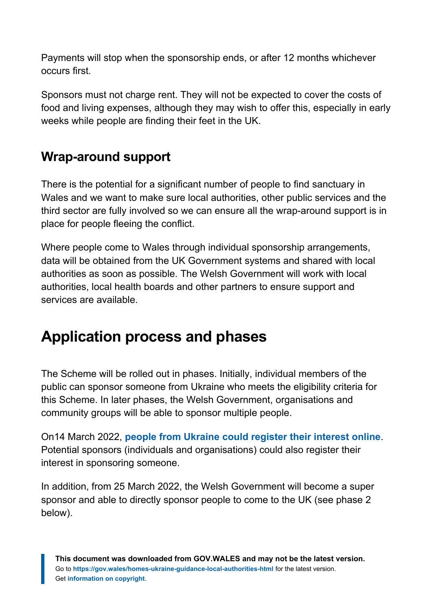Payments will stop when the sponsorship ends, or after 12 months whichever occurs first.

Sponsors must not charge rent. They will not be expected to cover the costs of food and living expenses, although they may wish to offer this, especially in early weeks while people are finding their feet in the UK.

#### **Wrap-around support**

There is the potential for a significant number of people to find sanctuary in Wales and we want to make sure local authorities, other public services and the third sector are fully involved so we can ensure all the wrap-around support is in place for people fleeing the conflict.

Where people come to Wales through individual sponsorship arrangements, data will be obtained from the UK Government systems and shared with local authorities as soon as possible. The Welsh Government will work with local authorities, local health boards and other partners to ensure support and services are available.

## <span id="page-4-0"></span>**Application process and phases**

The Scheme will be rolled out in phases. Initially, individual members of the public can sponsor someone from Ukraine who meets the eligibility criteria for this Scheme. In later phases, the Welsh Government, organisations and community groups will be able to sponsor multiple people.

On14 March 2022, **[people from Ukraine could register their interest online](https://homesforukraine.campaign.gov.uk/)**. Potential sponsors (individuals and organisations) could also register their interest in sponsoring someone.

In addition, from 25 March 2022, the Welsh Government will become a super sponsor and able to directly sponsor people to come to the UK (see phase 2 below).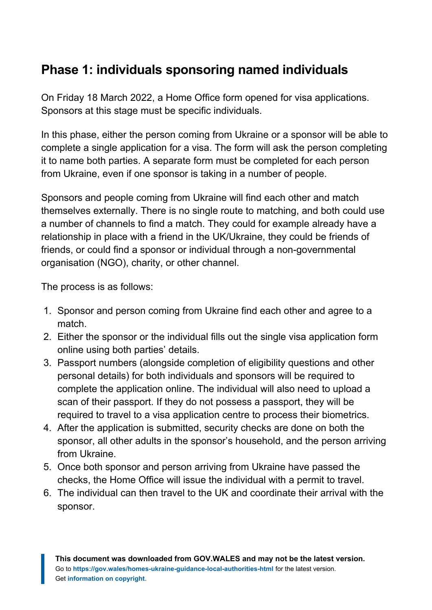#### **Phase 1: individuals sponsoring named individuals**

On Friday 18 March 2022, a Home Office form opened for visa applications. Sponsors at this stage must be specific individuals.

In this phase, either the person coming from Ukraine or a sponsor will be able to complete a single application for a visa. The form will ask the person completing it to name both parties. A separate form must be completed for each person from Ukraine, even if one sponsor is taking in a number of people.

Sponsors and people coming from Ukraine will find each other and match themselves externally. There is no single route to matching, and both could use a number of channels to find a match. They could for example already have a relationship in place with a friend in the UK/Ukraine, they could be friends of friends, or could find a sponsor or individual through a non-governmental organisation (NGO), charity, or other channel.

The process is as follows:

- 1. Sponsor and person coming from Ukraine find each other and agree to a match.
- 2. Either the sponsor or the individual fills out the single visa application form online using both parties' details.
- 3. Passport numbers (alongside completion of eligibility questions and other personal details) for both individuals and sponsors will be required to complete the application online. The individual will also need to upload a scan of their passport. If they do not possess a passport, they will be required to travel to a visa application centre to process their biometrics.
- 4. After the application is submitted, security checks are done on both the sponsor, all other adults in the sponsor's household, and the person arriving from Ukraine.
- 5. Once both sponsor and person arriving from Ukraine have passed the checks, the Home Office will issue the individual with a permit to travel.
- 6. The individual can then travel to the UK and coordinate their arrival with the sponsor.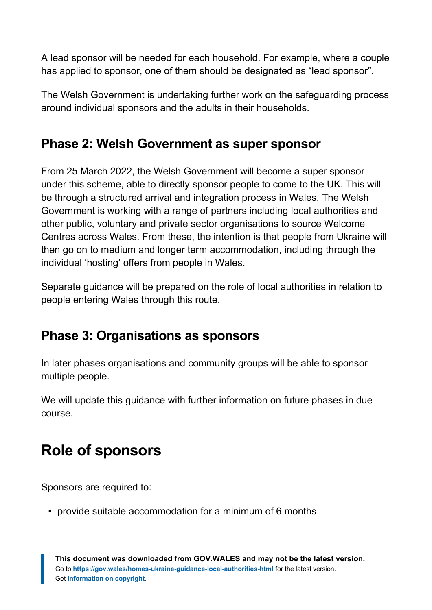A lead sponsor will be needed for each household. For example, where a couple has applied to sponsor, one of them should be designated as "lead sponsor".

The Welsh Government is undertaking further work on the safeguarding process around individual sponsors and the adults in their households.

#### **Phase 2: Welsh Government as super sponsor**

From 25 March 2022, the Welsh Government will become a super sponsor under this scheme, able to directly sponsor people to come to the UK. This will be through a structured arrival and integration process in Wales. The Welsh Government is working with a range of partners including local authorities and other public, voluntary and private sector organisations to source Welcome Centres across Wales. From these, the intention is that people from Ukraine will then go on to medium and longer term accommodation, including through the individual 'hosting' offers from people in Wales.

Separate guidance will be prepared on the role of local authorities in relation to people entering Wales through this route.

#### **Phase 3: Organisations as sponsors**

In later phases organisations and community groups will be able to sponsor multiple people.

We will update this guidance with further information on future phases in due course.

# <span id="page-6-0"></span>**Role of sponsors**

Sponsors are required to:

• provide suitable accommodation for a minimum of 6 months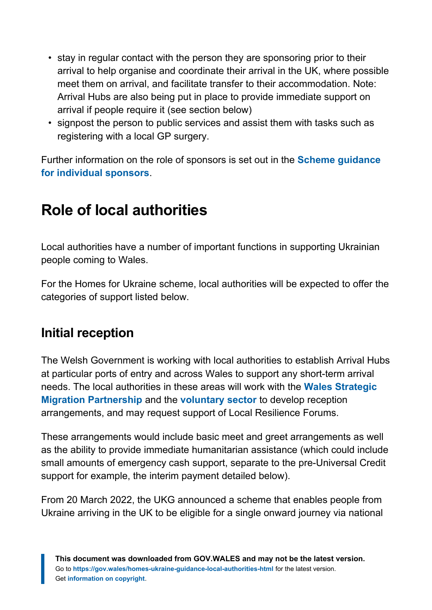- stay in regular contact with the person they are sponsoring prior to their arrival to help organise and coordinate their arrival in the UK, where possible meet them on arrival, and facilitate transfer to their accommodation. Note: Arrival Hubs are also being put in place to provide immediate support on arrival if people require it (see section below)
- signpost the person to public services and assist them with tasks such as registering with a local GP surgery.

Further information on the role of sponsors is set out in the **[Scheme guidance](https://gov.wales/homes-ukraine-guidance-sponsors) [for individual sponsors](https://gov.wales/homes-ukraine-guidance-sponsors)**.

## <span id="page-7-0"></span>**Role of local authorities**

Local authorities have a number of important functions in supporting Ukrainian people coming to Wales.

For the Homes for Ukraine scheme, local authorities will be expected to offer the categories of support listed below.

#### **Initial reception**

The Welsh Government is working with local authorities to establish Arrival Hubs at particular ports of entry and across Wales to support any short-term arrival needs. The local authorities in these areas will work with the **[Wales Strategic](https://www.wsmp.org.uk/) [Migration Partnership](https://www.wsmp.org.uk/)** and the **[voluntary sector](https://wcva.cymru/)** to develop reception arrangements, and may request support of Local Resilience Forums.

These arrangements would include basic meet and greet arrangements as well as the ability to provide immediate humanitarian assistance (which could include small amounts of emergency cash support, separate to the pre-Universal Credit support for example, the interim payment detailed below).

From 20 March 2022, the UKG announced a scheme that enables people from Ukraine arriving in the UK to be eligible for a single onward journey via national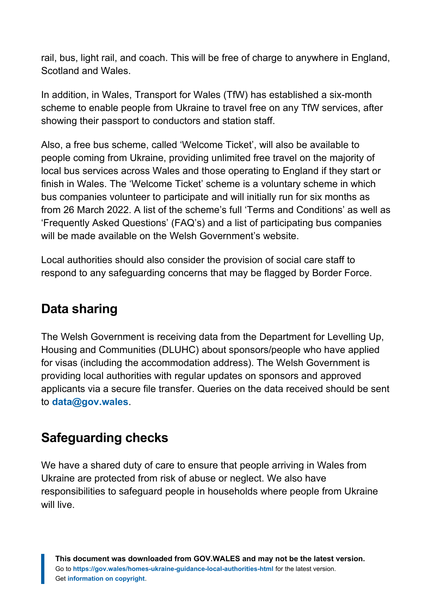rail, bus, light rail, and coach. This will be free of charge to anywhere in England, Scotland and Wales.

In addition, in Wales, Transport for Wales (TfW) has established a six-month scheme to enable people from Ukraine to travel free on any TfW services, after showing their passport to conductors and station staff.

Also, a free bus scheme, called 'Welcome Ticket', will also be available to people coming from Ukraine, providing unlimited free travel on the majority of local bus services across Wales and those operating to England if they start or finish in Wales. The 'Welcome Ticket' scheme is a voluntary scheme in which bus companies volunteer to participate and will initially run for six months as from 26 March 2022. A list of the scheme's full 'Terms and Conditions' as well as 'Frequently Asked Questions' (FAQ's) and a list of participating bus companies will be made available on the Welsh Government's website.

Local authorities should also consider the provision of social care staff to respond to any safeguarding concerns that may be flagged by Border Force.

#### **Data sharing**

The Welsh Government is receiving data from the Department for Levelling Up, Housing and Communities (DLUHC) about sponsors/people who have applied for visas (including the accommodation address). The Welsh Government is providing local authorities with regular updates on sponsors and approved applicants via a secure file transfer. Queries on the data received should be sent to **[data@gov.wales](mailto:data@gov.wales)**.

#### **Safeguarding checks**

We have a shared duty of care to ensure that people arriving in Wales from Ukraine are protected from risk of abuse or neglect. We also have responsibilities to safeguard people in households where people from Ukraine will live.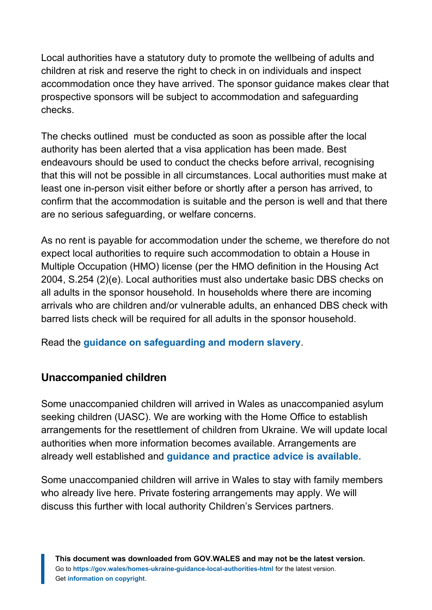Local authorities have a statutory duty to promote the wellbeing of adults and children at risk and reserve the right to check in on individuals and inspect accommodation once they have arrived. The sponsor guidance makes clear that prospective sponsors will be subject to accommodation and safeguarding checks.

The checks outlined must be conducted as soon as possible after the local authority has been alerted that a visa application has been made. Best endeavours should be used to conduct the checks before arrival, recognising that this will not be possible in all circumstances. Local authorities must make at least one in-person visit either before or shortly after a person has arrived, to confirm that the accommodation is suitable and the person is well and that there are no serious safeguarding, or welfare concerns.

As no rent is payable for accommodation under the scheme, we therefore do not expect local authorities to require such accommodation to obtain a House in Multiple Occupation (HMO) license (per the HMO definition in the Housing Act 2004, S.254 (2)(e). Local authorities must also undertake basic DBS checks on all adults in the sponsor household. In households where there are incoming arrivals who are children and/or vulnerable adults, an enhanced DBS check with barred lists check will be required for all adults in the sponsor household.

Read the **[guidance on safeguarding and modern slavery](https://gov.wales/homes-ukraine-safeguarding-and-modern-slavery-guidance)**.

#### **Unaccompanied children**

Some unaccompanied children will arrived in Wales as unaccompanied asylum seeking children (UASC). We are working with the Home Office to establish arrangements for the resettlement of children from Ukraine. We will update local authorities when more information becomes available. Arrangements are already well established and **[guidance and practice advice is available.](https://gov.wales/unaccompanied-asylum-seeking-children-guidance-professionals)**

Some unaccompanied children will arrive in Wales to stay with family members who already live here. Private fostering arrangements may apply. We will discuss this further with local authority Children's Services partners.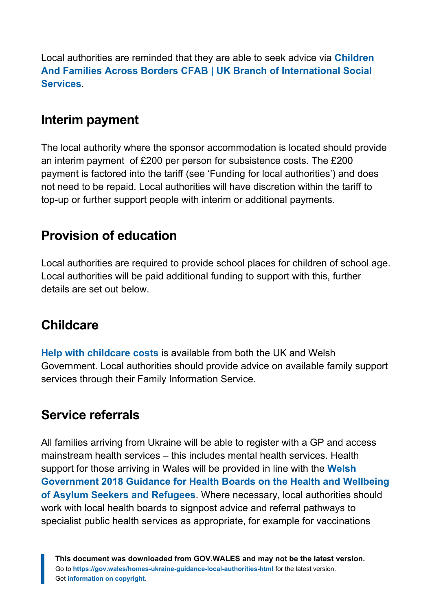Local authorities are reminded that they are able to seek advice via **[Children](https://www.cfab.org.uk/?msclkid=08ffddaeaab311ecb0fc5ade268ef841) [And Families Across Borders CFAB | UK Branch of International Social](https://www.cfab.org.uk/?msclkid=08ffddaeaab311ecb0fc5ade268ef841) [Services](https://www.cfab.org.uk/?msclkid=08ffddaeaab311ecb0fc5ade268ef841)**.

#### **Interim payment**

The local authority where the sponsor accommodation is located should provide an interim payment of £200 per person for subsistence costs. The £200 payment is factored into the tariff (see 'Funding for local authorities') and does not need to be repaid. Local authorities will have discretion within the tariff to top-up or further support people with interim or additional payments.

#### **Provision of education**

Local authorities are required to provide school places for children of school age. Local authorities will be paid additional funding to support with this, further details are set out below.

#### **Childcare**

**[Help with childcare costs](https://gov.wales/help-paying-childcare)** is available from both the UK and Welsh Government. Local authorities should provide advice on available family support services through their Family Information Service.

#### **Service referrals**

All families arriving from Ukraine will be able to register with a GP and access mainstream health services – this includes mental health services. Health support for those arriving in Wales will be provided in line with the **[Welsh](https://gov.wales/health-and-wellbeing-refugees-and-asylum-seekers-guidance-health-boards) [Government 2018 Guidance for Health Boards on the Health and Wellbeing](https://gov.wales/health-and-wellbeing-refugees-and-asylum-seekers-guidance-health-boards) [of Asylum Seekers and Refugees](https://gov.wales/health-and-wellbeing-refugees-and-asylum-seekers-guidance-health-boards)**. Where necessary, local authorities should work with local health boards to signpost advice and referral pathways to specialist public health services as appropriate, for example for vaccinations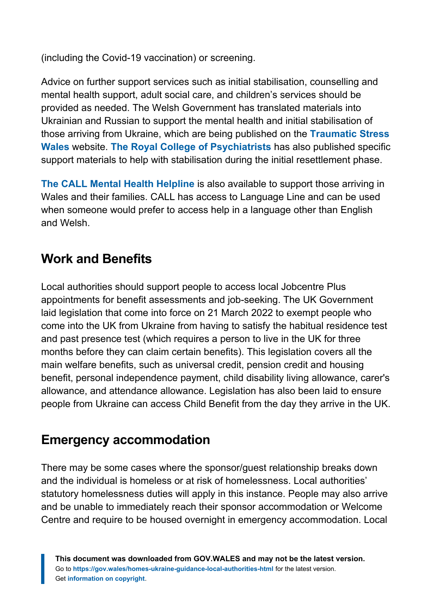(including the Covid-19 vaccination) or screening.

Advice on further support services such as initial stabilisation, counselling and mental health support, adult social care, and children's services should be provided as needed. The Welsh Government has translated materials into Ukrainian and Russian to support the mental health and initial stabilisation of those arriving from Ukraine, which are being published on the **[Traumatic Stress](https://traumaticstress.nhs.wales/) [Wales](https://traumaticstress.nhs.wales/)** website. **[The Royal College of Psychiatrists](https://www.rcpsych.ac.uk/international/humanitarian-resources/ukraine-crisis-resources)** has also published specific support materials to help with stabilisation during the initial resettlement phase.

**[The CALL Mental Health Helpline](https://www.callhelpline.org.uk/)** is also available to support those arriving in Wales and their families. CALL has access to Language Line and can be used when someone would prefer to access help in a language other than English and Welsh.

#### **Work and Benefits**

Local authorities should support people to access local Jobcentre Plus appointments for benefit assessments and job-seeking. The UK Government laid legislation that come into force on 21 March 2022 to exempt people who come into the UK from Ukraine from having to satisfy the habitual residence test and past presence test (which requires a person to live in the UK for three months before they can claim certain benefits). This legislation covers all the main welfare benefits, such as universal credit, pension credit and housing benefit, personal independence payment, child disability living allowance, carer's allowance, and attendance allowance. Legislation has also been laid to ensure people from Ukraine can access Child Benefit from the day they arrive in the UK.

#### **Emergency accommodation**

There may be some cases where the sponsor/guest relationship breaks down and the individual is homeless or at risk of homelessness. Local authorities' statutory homelessness duties will apply in this instance. People may also arrive and be unable to immediately reach their sponsor accommodation or Welcome Centre and require to be housed overnight in emergency accommodation. Local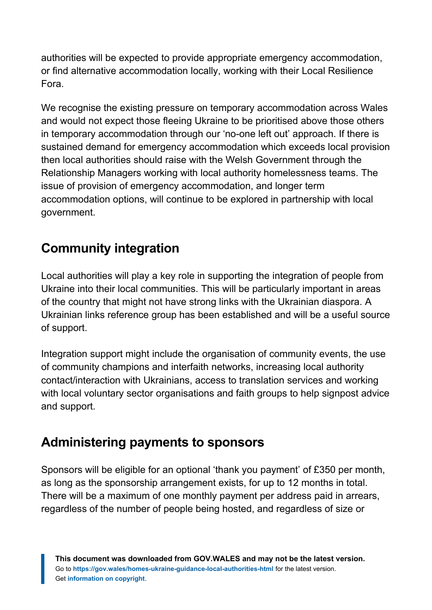authorities will be expected to provide appropriate emergency accommodation, or find alternative accommodation locally, working with their Local Resilience Fora.

We recognise the existing pressure on temporary accommodation across Wales and would not expect those fleeing Ukraine to be prioritised above those others in temporary accommodation through our 'no-one left out' approach. If there is sustained demand for emergency accommodation which exceeds local provision then local authorities should raise with the Welsh Government through the Relationship Managers working with local authority homelessness teams. The issue of provision of emergency accommodation, and longer term accommodation options, will continue to be explored in partnership with local government.

## **Community integration**

Local authorities will play a key role in supporting the integration of people from Ukraine into their local communities. This will be particularly important in areas of the country that might not have strong links with the Ukrainian diaspora. A Ukrainian links reference group has been established and will be a useful source of support.

Integration support might include the organisation of community events, the use of community champions and interfaith networks, increasing local authority contact/interaction with Ukrainians, access to translation services and working with local voluntary sector organisations and faith groups to help signpost advice and support.

#### **Administering payments to sponsors**

Sponsors will be eligible for an optional 'thank you payment' of £350 per month, as long as the sponsorship arrangement exists, for up to 12 months in total. There will be a maximum of one monthly payment per address paid in arrears, regardless of the number of people being hosted, and regardless of size or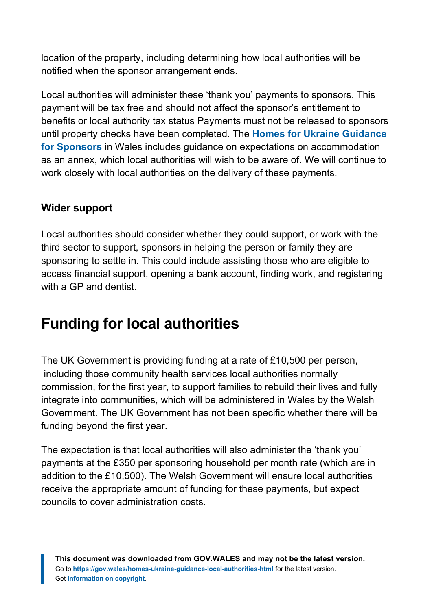location of the property, including determining how local authorities will be notified when the sponsor arrangement ends.

Local authorities will administer these 'thank you' payments to sponsors. This payment will be tax free and should not affect the sponsor's entitlement to benefits or local authority tax status Payments must not be released to sponsors until property checks have been completed. The **[Homes for Ukraine Guidance](https://gov.wales/homes-ukraine-guidance-sponsors) [for Sponsors](https://gov.wales/homes-ukraine-guidance-sponsors)** in Wales includes guidance on expectations on accommodation as an annex, which local authorities will wish to be aware of. We will continue to work closely with local authorities on the delivery of these payments.

#### **Wider support**

Local authorities should consider whether they could support, or work with the third sector to support, sponsors in helping the person or family they are sponsoring to settle in. This could include assisting those who are eligible to access financial support, opening a bank account, finding work, and registering with a GP and dentist.

## <span id="page-13-0"></span>**Funding for local authorities**

The UK Government is providing funding at a rate of £10,500 per person, including those community health services local authorities normally commission, for the first year, to support families to rebuild their lives and fully integrate into communities, which will be administered in Wales by the Welsh Government. The UK Government has not been specific whether there will be funding beyond the first year.

The expectation is that local authorities will also administer the 'thank you' payments at the £350 per sponsoring household per month rate (which are in addition to the £10,500). The Welsh Government will ensure local authorities receive the appropriate amount of funding for these payments, but expect councils to cover administration costs.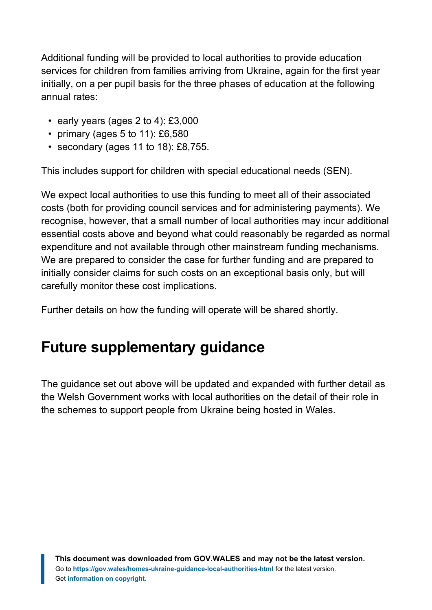Additional funding will be provided to local authorities to provide education services for children from families arriving from Ukraine, again for the first year initially, on a per pupil basis for the three phases of education at the following annual rates:

- early years (ages 2 to 4): £3,000
- primary (ages  $5$  to  $11$ ): £6,580
- secondary (ages 11 to 18): £8,755.

This includes support for children with special educational needs (SEN).

We expect local authorities to use this funding to meet all of their associated costs (both for providing council services and for administering payments). We recognise, however, that a small number of local authorities may incur additional essential costs above and beyond what could reasonably be regarded as normal expenditure and not available through other mainstream funding mechanisms. We are prepared to consider the case for further funding and are prepared to initially consider claims for such costs on an exceptional basis only, but will carefully monitor these cost implications.

Further details on how the funding will operate will be shared shortly.

## <span id="page-14-0"></span>**Future supplementary guidance**

The guidance set out above will be updated and expanded with further detail as the Welsh Government works with local authorities on the detail of their role in the schemes to support people from Ukraine being hosted in Wales.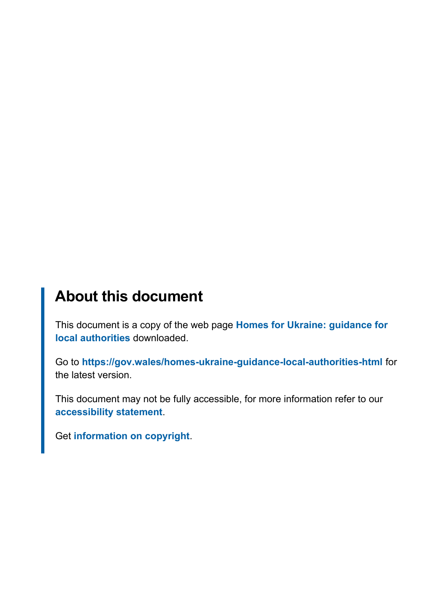## **About this document**

This document is a copy of the web page **[Homes for Ukraine: guidance for](https://gov.wales/homes-ukraine-guidance-local-authorities-html) [local authorities](https://gov.wales/homes-ukraine-guidance-local-authorities-html)** downloaded.

Go to **<https://gov.wales/homes-ukraine-guidance-local-authorities-html>** for the latest version.

This document may not be fully accessible, for more information refer to our **[accessibility statement](https://gov.wales/accessibility-statement-govwales)**.

Get **[information on copyright](https://gov.wales/copyright-statement)**.